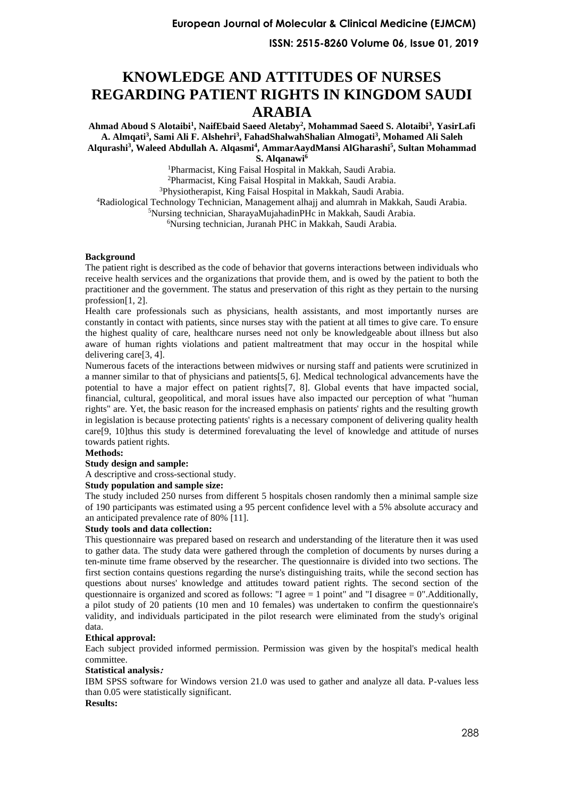# **KNOWLEDGE AND ATTITUDES OF NURSES REGARDING PATIENT RIGHTS IN KINGDOM SAUDI ARABIA**

**Ahmad Aboud S Alotaibi<sup>1</sup> , NaifEbaid Saeed Aletaby<sup>2</sup> , Mohammad Saeed S. Alotaibi<sup>3</sup> , YasirLafi A. Almqati<sup>3</sup> , Sami Ali F. Alshehri<sup>3</sup> , FahadShalwahShalian Almogati<sup>3</sup> , Mohamed Ali Saleh Alqurashi<sup>3</sup> , Waleed Abdullah A. Alqasmi<sup>4</sup> , AmmarAaydMansi AlGharashi<sup>5</sup> , Sultan Mohammad S. Alqanawi<sup>6</sup>**

<sup>1</sup>Pharmacist, King Faisal Hospital in Makkah, Saudi Arabia.

<sup>2</sup>Pharmacist, King Faisal Hospital in Makkah, Saudi Arabia.

<sup>3</sup>Physiotherapist, King Faisal Hospital in Makkah, Saudi Arabia.

<sup>4</sup>Radiological Technology Technician, Management alhajj and alumrah in Makkah, Saudi Arabia.

<sup>5</sup>Nursing technician, SharayaMujahadinPHc in Makkah, Saudi Arabia.

<sup>6</sup>Nursing technician, Juranah PHC in Makkah, Saudi Arabia.

#### **Background**

The patient right is described as the code of behavior that governs interactions between individuals who receive health services and the organizations that provide them, and is owed by the patient to both the practitioner and the government. The status and preservation of this right as they pertain to the nursing profession[\[1,](#page-5-0) [2\]](#page-5-1).

Health care professionals such as physicians, health assistants, and most importantly nurses are constantly in contact with patients, since nurses stay with the patient at all times to give care. To ensure the highest quality of care, healthcare nurses need not only be knowledgeable about illness but also aware of human rights violations and patient maltreatment that may occur in the hospital while delivering care[\[3,](#page-5-2) [4\]](#page-5-3).

Numerous facets of the interactions between midwives or nursing staff and patients were scrutinized in a manner similar to that of physicians and patients[\[5,](#page-5-4) [6\]](#page-5-5). Medical technological advancements have the potential to have a major effect on patient rights[\[7,](#page-5-6) [8\]](#page-5-7). Global events that have impacted social, financial, cultural, geopolitical, and moral issues have also impacted our perception of what "human rights" are. Yet, the basic reason for the increased emphasis on patients' rights and the resulting growth in legislation is because protecting patients' rights is a necessary component of delivering quality health care[\[9,](#page-5-8) [10\]](#page-5-9)thus this study is determined forevaluating the level of knowledge and attitude of nurses towards patient rights.

#### **Methods:**

#### **Study design and sample:**

A descriptive and cross-sectional study.

#### **Study population and sample size:**

The study included 250 nurses from different 5 hospitals chosen randomly then a minimal sample size of 190 participants was estimated using a 95 percent confidence level with a 5% absolute accuracy and an anticipated prevalence rate of 80% [\[11\]](#page-5-10).

#### **Study tools and data collection:**

This questionnaire was prepared based on research and understanding of the literature then it was used to gather data. The study data were gathered through the completion of documents by nurses during a ten-minute time frame observed by the researcher. The questionnaire is divided into two sections. The first section contains questions regarding the nurse's distinguishing traits, while the second section has questions about nurses' knowledge and attitudes toward patient rights. The second section of the questionnaire is organized and scored as follows: "I agree  $= 1$  point" and "I disagree  $= 0$ ". Additionally, a pilot study of 20 patients (10 men and 10 females) was undertaken to confirm the questionnaire's validity, and individuals participated in the pilot research were eliminated from the study's original data.

#### **Ethical approval:**

Each subject provided informed permission. Permission was given by the hospital's medical health committee.

#### **Statistical analysis:**

IBM SPSS software for Windows version 21.0 was used to gather and analyze all data. P-values less than 0.05 were statistically significant.

### **Results:**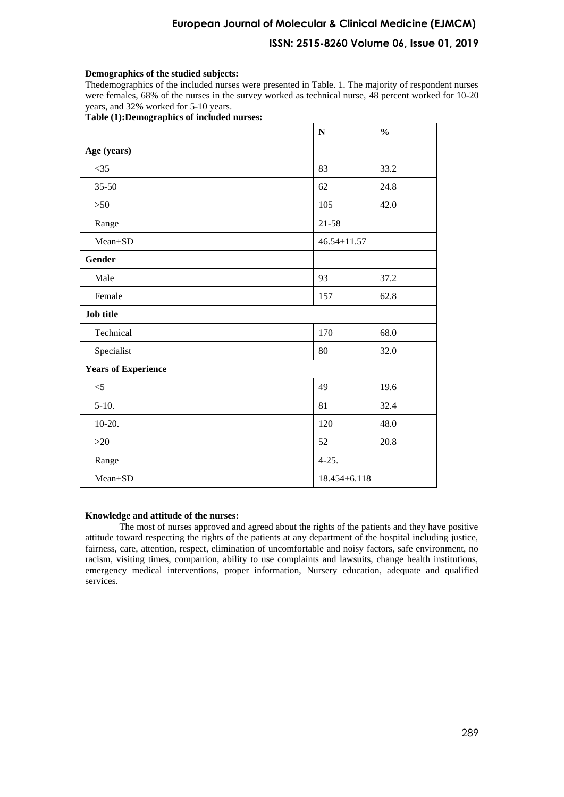## **European Journal of Molecular & Clinical Medicine (EJMCM)**

## **ISSN: 2515-8260 Volume 06, Issue 01, 2019**

#### **Demographics of the studied subjects:**

Thedemographics of the included nurses were presented in Table. 1. The majority of respondent nurses were females, 68% of the nurses in the survey worked as technical nurse, 48 percent worked for 10-20 years, and 32% worked for 5-10 years.

#### **Table (1):Demographics of included nurses:**

|                            | $\mathbf N$        | $\frac{0}{0}$ |  |  |
|----------------------------|--------------------|---------------|--|--|
| Age (years)                |                    |               |  |  |
| $<$ 35                     | 83                 | 33.2          |  |  |
| $35 - 50$                  | 62                 | 24.8          |  |  |
| $>50$                      | 105                | 42.0          |  |  |
| Range                      | 21-58              |               |  |  |
| Mean±SD                    | $46.54 \pm 11.57$  |               |  |  |
| <b>Gender</b>              |                    |               |  |  |
| Male                       | 93                 | 37.2          |  |  |
| Female                     | 157                | 62.8          |  |  |
| <b>Job title</b>           |                    |               |  |  |
| Technical                  | 170                | 68.0          |  |  |
| Specialist                 | 32.0<br>80         |               |  |  |
| <b>Years of Experience</b> |                    |               |  |  |
| $<$ 5                      | 49                 | 19.6          |  |  |
| $5-10.$                    | 81                 | 32.4          |  |  |
| $10-20.$                   | 120                | 48.0          |  |  |
| $>20$                      | 52                 | 20.8          |  |  |
| Range                      | $4 - 25.$          |               |  |  |
| Mean±SD                    | $18.454 \pm 6.118$ |               |  |  |

#### **Knowledge and attitude of the nurses:**

The most of nurses approved and agreed about the rights of the patients and they have positive attitude toward respecting the rights of the patients at any department of the hospital including justice, fairness, care, attention, respect, elimination of uncomfortable and noisy factors, safe environment, no racism, visiting times, companion, ability to use complaints and lawsuits, change health institutions, emergency medical interventions, proper information, Nursery education, adequate and qualified services.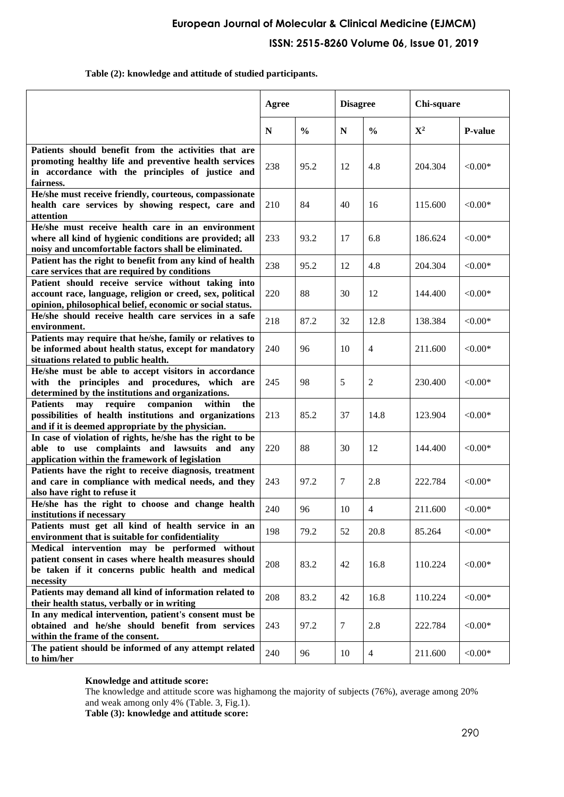## **European Journal of Molecular & Clinical Medicine (EJMCM) ISSN: 2515-8260 Volume 06, Issue 01, 2019**

### **Table (2): knowledge and attitude of studied participants.**

|                                                                                                                                                                                | Agree |               | <b>Disagree</b> |                | Chi-square  |                |
|--------------------------------------------------------------------------------------------------------------------------------------------------------------------------------|-------|---------------|-----------------|----------------|-------------|----------------|
|                                                                                                                                                                                | N     | $\frac{0}{0}$ | N               | $\frac{0}{0}$  | ${\bf X}^2$ | <b>P-value</b> |
| Patients should benefit from the activities that are<br>promoting healthy life and preventive health services<br>in accordance with the principles of justice and<br>fairness. | 238   | 95.2          | 12              | 4.8            | 204.304     | $< 0.00*$      |
| He/she must receive friendly, courteous, compassionate<br>health care services by showing respect, care and<br>attention                                                       | 210   | 84            | 40              | 16             | 115.600     | ${<}0.00*$     |
| He/she must receive health care in an environment<br>where all kind of hygienic conditions are provided; all<br>noisy and uncomfortable factors shall be eliminated.           | 233   | 93.2          | 17              | 6.8            | 186.624     | ${<}0.00*$     |
| Patient has the right to benefit from any kind of health<br>care services that are required by conditions                                                                      | 238   | 95.2          | 12              | 4.8            | 204.304     | $< 0.00*$      |
| Patient should receive service without taking into<br>account race, language, religion or creed, sex, political<br>opinion, philosophical belief, economic or social status.   | 220   | 88            | 30              | 12             | 144.400     | ${<}0.00*$     |
| He/she should receive health care services in a safe<br>environment.                                                                                                           | 218   | 87.2          | 32              | 12.8           | 138.384     | $< 0.00*$      |
| Patients may require that he/she, family or relatives to<br>be informed about health status, except for mandatory<br>situations related to public health.                      | 240   | 96            | 10              | $\overline{4}$ | 211.600     | ${<}0.00*$     |
| He/she must be able to accept visitors in accordance<br>with the principles and procedures, which are<br>determined by the institutions and organizations.                     | 245   | 98            | 5               | 2              | 230.400     | ${<}0.00*$     |
| require<br>companion<br>within<br><b>Patients</b><br>may<br>the<br>possibilities of health institutions and organizations<br>and if it is deemed appropriate by the physician. | 213   | 85.2          | 37              | 14.8           | 123.904     | $< 0.00*$      |
| In case of violation of rights, he/she has the right to be<br>able to use complaints and lawsuits and any<br>application within the framework of legislation                   | 220   | 88            | 30              | 12             | 144.400     | $< 0.00*$      |
| Patients have the right to receive diagnosis, treatment<br>and care in compliance with medical needs, and they<br>also have right to refuse it                                 | 243   | 97.2          | $\tau$          | 2.8            | 222.784     | $< 0.00*$      |
| He/she has the right to choose and change health<br>institutions if necessary                                                                                                  | 240   | 96            | 10              | 4              | 211.600     | $< 0.00*$      |
| Patients must get all kind of health service in an<br>environment that is suitable for confidentiality                                                                         | 198   | 79.2          | 52              | 20.8           | 85.264      | $< 0.00*$      |
| Medical intervention may be performed without<br>patient consent in cases where health measures should<br>be taken if it concerns public health and medical<br>necessity       | 208   | 83.2          | 42              | 16.8           | 110.224     | ${<}0.00*$     |
| Patients may demand all kind of information related to<br>their health status, verbally or in writing                                                                          | 208   | 83.2          | 42              | 16.8           | 110.224     | $< 0.00*$      |
| In any medical intervention, patient's consent must be<br>obtained and he/she should benefit from services<br>within the frame of the consent.                                 | 243   | 97.2          | $\tau$          | 2.8            | 222.784     | $< 0.00*$      |
| The patient should be informed of any attempt related<br>to him/her                                                                                                            | 240   | 96            | 10              | $\overline{4}$ | 211.600     | $< 0.00*$      |

### **Knowledge and attitude score:**

The knowledge and attitude score was highamong the majority of subjects (76%), average among 20% and weak among only 4% (Table. 3, Fig.1).

**Table (3): knowledge and attitude score:**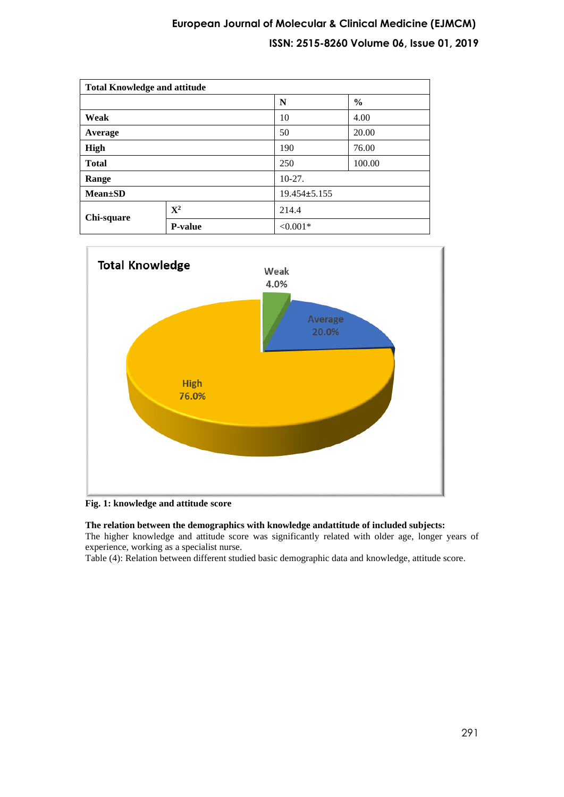## **European Journal of Molecular & Clinical Medicine (EJMCM) ISSN: 2515-8260 Volume 06, Issue 01, 2019**

| <b>Total Knowledge and attitude</b> |                |                    |               |  |
|-------------------------------------|----------------|--------------------|---------------|--|
|                                     |                | N                  | $\frac{6}{9}$ |  |
| Weak                                |                | 10                 | 4.00          |  |
| Average                             |                | 50                 | 20.00         |  |
| <b>High</b>                         |                | 190                | 76.00         |  |
| <b>Total</b>                        |                | 250                | 100.00        |  |
| Range                               |                | $10-27.$           |               |  |
| $Mean \pm SD$                       |                | $19.454 \pm 5.155$ |               |  |
| Chi-square                          | ${\bf X}^2$    | 214.4              |               |  |
|                                     | <b>P-value</b> | ${<}0.001*$        |               |  |



### **Fig. 1: knowledge and attitude score**

## **The relation between the demographics with knowledge andattitude of included subjects:**

The higher knowledge and attitude score was significantly related with older age, longer years of experience, working as a specialist nurse.

Table (4): Relation between different studied basic demographic data and knowledge, attitude score.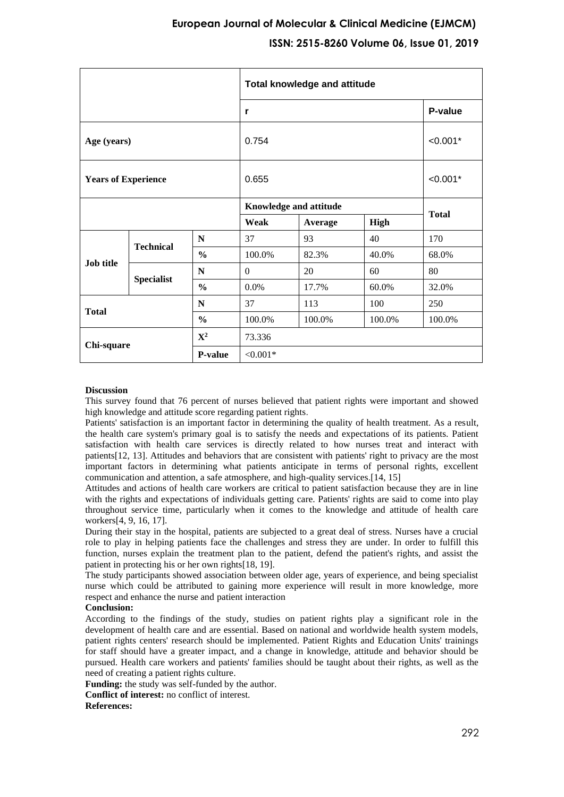|                                      |                      | <b>Total knowledge and attitude</b> |                        |         |            |              |
|--------------------------------------|----------------------|-------------------------------------|------------------------|---------|------------|--------------|
|                                      |                      |                                     | r                      | P-value |            |              |
|                                      | 0.754<br>Age (years) |                                     |                        |         | $< 0.001*$ |              |
| <b>Years of Experience</b>           |                      |                                     | 0.655                  |         |            | $< 0.001*$   |
|                                      |                      |                                     | Knowledge and attitude |         |            | <b>Total</b> |
|                                      |                      | Weak                                | Average                | High    |            |              |
| <b>Job title</b>                     | <b>Technical</b>     | N                                   | 37                     | 93      | 40         | 170          |
|                                      |                      | $\frac{6}{6}$                       | 100.0%                 | 82.3%   | 40.0%      | 68.0%        |
|                                      | <b>Specialist</b>    | N                                   | $\Omega$               | 20      | 60         | 80           |
|                                      |                      | $\frac{0}{0}$                       | $0.0\%$                | 17.7%   | 60.0%      | 32.0%        |
| N<br><b>Total</b><br>$\frac{6}{6}$   |                      |                                     | 37                     | 113     | 100        | 250          |
|                                      |                      | 100.0%                              | 100.0%                 | 100.0%  | 100.0%     |              |
| ${\bf X}^2$<br>Chi-square<br>P-value |                      | 73.336                              |                        |         |            |              |
|                                      |                      |                                     | ${<}0.001*$            |         |            |              |

#### **Discussion**

This survey found that 76 percent of nurses believed that patient rights were important and showed high knowledge and attitude score regarding patient rights.

Patients' satisfaction is an important factor in determining the quality of health treatment. As a result, the health care system's primary goal is to satisfy the needs and expectations of its patients. Patient satisfaction with health care services is directly related to how nurses treat and interact with patients[\[12,](#page-5-11) [13\]](#page-5-12). Attitudes and behaviors that are consistent with patients' right to privacy are the most important factors in determining what patients anticipate in terms of personal rights, excellent communication and attention, a safe atmosphere, and high-quality services.[\[14,](#page-5-13) [15\]](#page-5-14)

Attitudes and actions of health care workers are critical to patient satisfaction because they are in line with the rights and expectations of individuals getting care. Patients' rights are said to come into play throughout service time, particularly when it comes to the knowledge and attitude of health care workers[\[4,](#page-5-3) [9,](#page-5-8) [16,](#page-5-15) [17\]](#page-5-16).

During their stay in the hospital, patients are subjected to a great deal of stress. Nurses have a crucial role to play in helping patients face the challenges and stress they are under. In order to fulfill this function, nurses explain the treatment plan to the patient, defend the patient's rights, and assist the patient in protecting his or her own rights[\[18,](#page-5-17) [19\]](#page-5-18).

The study participants showed association between older age, years of experience, and being specialist nurse which could be attributed to gaining more experience will result in more knowledge, more respect and enhance the nurse and patient interaction

#### **Conclusion:**

According to the findings of the study, studies on patient rights play a significant role in the development of health care and are essential. Based on national and worldwide health system models, patient rights centers' research should be implemented. Patient Rights and Education Units' trainings for staff should have a greater impact, and a change in knowledge, attitude and behavior should be pursued. Health care workers and patients' families should be taught about their rights, as well as the need of creating a patient rights culture.

**Funding:** the study was self-funded by the author.

**Conflict of interest:** no conflict of interest.

#### **References:**